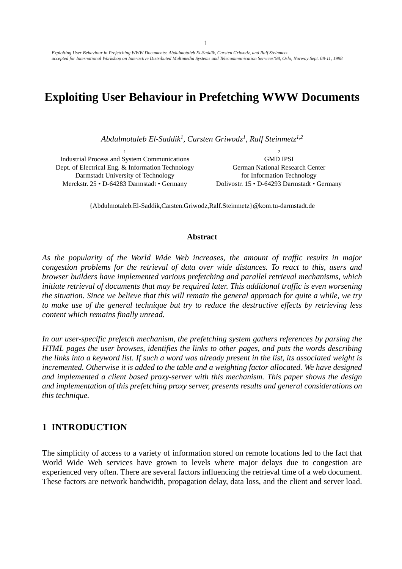# **Exploiting User Behaviour in Prefetching WWW Documents**

*Abdulmotaleb El-Saddik1, Carsten Griwodz1 , Ralf Steinmetz1,2*

1 Industrial Process and System Communications Dept. of Electrical Eng. & Information Technology Darmstadt University of Technology Merckstr. 25 • D-64283 Darmstadt • Germany

2 GMD IPSI German National Research Center for Information Technology Dolivostr. 15 • D-64293 Darmstadt • Germany

{Abdulmotaleb.El-Saddik,Carsten.Griwodz,Ralf.Steinmetz}@kom.tu-darmstadt.de

#### **Abstract**

*As the popularity of the World Wide Web increases, the amount of traffic results in major congestion problems for the retrieval of data over wide distances. To react to this, users and browser builders have implemented various prefetching and parallel retrieval mechanisms, which initiate retrieval of documents that may be required later. This additional traffic is even worsening the situation. Since we believe that this will remain the general approach for quite a while, we try to make use of the general technique but try to reduce the destructive effects by retrieving less content which remains finally unread.*

*In our user-specific prefetch mechanism, the prefetching system gathers references by parsing the HTML pages the user browses, identifies the links to other pages, and puts the words describing the links into a keyword list. If such a word was already present in the list, its associated weight is incremented. Otherwise it is added to the table and a weighting factor allocated. We have designed and implemented a client based proxy-server with this mechanism. This paper shows the design and implementation of this prefetching proxy server, presents results and general considerations on this technique.*

## **1 INTRODUCTION**

The simplicity of access to a variety of information stored on remote locations led to the fact that World Wide Web services have grown to levels where major delays due to congestion are experienced very often. There are several factors influencing the retrieval time of a web document. These factors are network bandwidth, propagation delay, data loss, and the client and server load.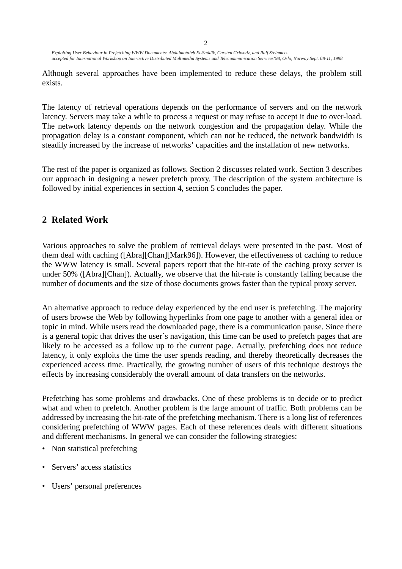*Exploiting User Behaviour in Prefetching WWW Documents: Abdulmotaleb El-Saddik, Carsten Griwodz, and Ralf Steinmetz accepted for International Workshop on Interactive Distributed Multimedia Systems and Telecommunication Services'98, Oslo, Norway Sept. 08-11, 1998*

Although several approaches have been implemented to reduce these delays, the problem still exists.

The latency of retrieval operations depends on the performance of servers and on the network latency. Servers may take a while to process a request or may refuse to accept it due to over-load. The network latency depends on the network congestion and the propagation delay. While the propagation delay is a constant component, which can not be reduced, the network bandwidth is steadily increased by the increase of networks' capacities and the installation of new networks.

The rest of the paper is organized as follows. Section 2 discusses related work. Section 3 describes our approach in designing a newer prefetch proxy. The description of the system architecture is followed by initial experiences in section 4, section 5 concludes the paper.

# **2 Related Work**

Various approaches to solve the problem of retrieval delays were presented in the past. Most of them deal with caching ([Abra][Chan][Mark96]). However, the effectiveness of caching to reduce the WWW latency is small. Several papers report that the hit-rate of the caching proxy server is under 50% ([Abra][Chan]). Actually, we observe that the hit-rate is constantly falling because the number of documents and the size of those documents grows faster than the typical proxy server.

An alternative approach to reduce delay experienced by the end user is prefetching. The majority of users browse the Web by following hyperlinks from one page to another with a general idea or topic in mind. While users read the downloaded page, there is a communication pause. Since there is a general topic that drives the user´s navigation, this time can be used to prefetch pages that are likely to be accessed as a follow up to the current page. Actually, prefetching does not reduce latency, it only exploits the time the user spends reading, and thereby theoretically decreases the experienced access time. Practically, the growing number of users of this technique destroys the effects by increasing considerably the overall amount of data transfers on the networks.

Prefetching has some problems and drawbacks. One of these problems is to decide or to predict what and when to prefetch. Another problem is the large amount of traffic. Both problems can be addressed by increasing the hit-rate of the prefetching mechanism. There is a long list of references considering prefetching of WWW pages. Each of these references deals with different situations and different mechanisms. In general we can consider the following strategies:

- Non statistical prefetching
- Servers' access statistics
- Users' personal preferences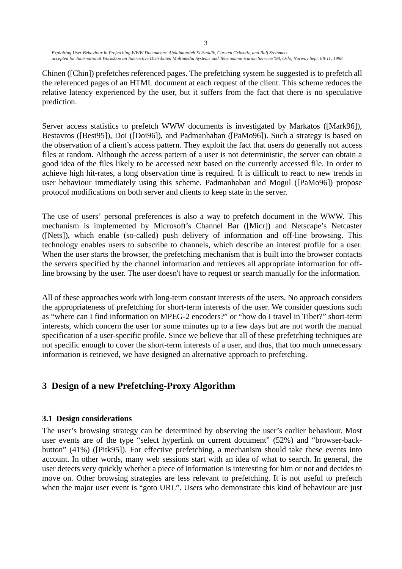*Exploiting User Behaviour in Prefetching WWW Documents: Abdulmotaleb El-Saddik, Carsten Griwodz, and Ralf Steinmetz accepted for International Workshop on Interactive Distributed Multimedia Systems and Telecommunication Services'98, Oslo, Norway Sept. 08-11, 1998*

Chinen ([Chin]) prefetches referenced pages. The prefetching system he suggested is to prefetch all the referenced pages of an HTML document at each request of the client. This scheme reduces the relative latency experienced by the user, but it suffers from the fact that there is no speculative prediction.

Server access statistics to prefetch WWW documents is investigated by Markatos ([Mark96]), Bestavros ([Best95]), Doi ([Doi96]), and Padmanhaban ([PaMo96]). Such a strategy is based on the observation of a client's access pattern. They exploit the fact that users do generally not access files at random. Although the access pattern of a user is not deterministic, the server can obtain a good idea of the files likely to be accessed next based on the currently accessed file. In order to achieve high hit-rates, a long observation time is required. It is difficult to react to new trends in user behaviour immediately using this scheme. Padmanhaban and Mogul ([PaMo96]) propose protocol modifications on both server and clients to keep state in the server.

The use of users' personal preferences is also a way to prefetch document in the WWW. This mechanism is implemented by Microsoft's Channel Bar ([Micr]) and Netscape's Netcaster ([Nets]), which enable (so-called) push delivery of information and off-line browsing. This technology enables users to subscribe to channels, which describe an interest profile for a user. When the user starts the browser, the prefetching mechanism that is built into the browser contacts the servers specified by the channel information and retrieves all appropriate information for offline browsing by the user. The user doesn't have to request or search manually for the information.

All of these approaches work with long-term constant interests of the users. No approach considers the appropriateness of prefetching for short-term interests of the user. We consider questions such as "where can I find information on MPEG-2 encoders?" or "how do I travel in Tibet?" short-term interests, which concern the user for some minutes up to a few days but are not worth the manual specification of a user-specific profile. Since we believe that all of these prefetching techniques are not specific enough to cover the short-term interests of a user, and thus, that too much unnecessary information is retrieved, we have designed an alternative approach to prefetching.

# **3 Design of a new Prefetching-Proxy Algorithm**

#### **3.1 Design considerations**

The user's browsing strategy can be determined by observing the user's earlier behaviour. Most user events are of the type "select hyperlink on current document" (52%) and "browser-backbutton" (41%) ([Pitk95]). For effective prefetching, a mechanism should take these events into account. In other words, many web sessions start with an idea of what to search. In general, the user detects very quickly whether a piece of information is interesting for him or not and decides to move on. Other browsing strategies are less relevant to prefetching. It is not useful to prefetch when the major user event is "goto URL". Users who demonstrate this kind of behaviour are just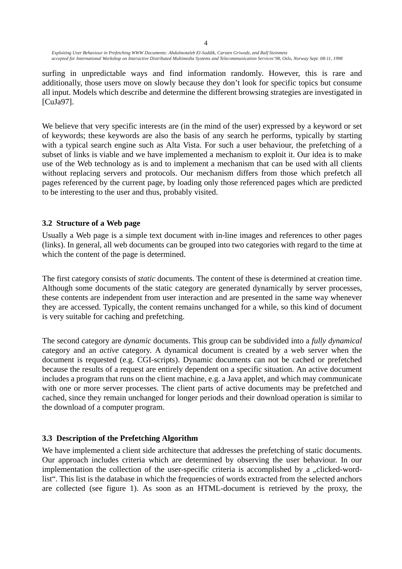surfing in unpredictable ways and find information randomly. However, this is rare and additionally, those users move on slowly because they don't look for specific topics but consume all input. Models which describe and determine the different browsing strategies are investigated in [CuJa97].

We believe that very specific interests are (in the mind of the user) expressed by a keyword or set of keywords; these keywords are also the basis of any search he performs, typically by starting with a typical search engine such as Alta Vista. For such a user behaviour, the prefetching of a subset of links is viable and we have implemented a mechanism to exploit it. Our idea is to make use of the Web technology as is and to implement a mechanism that can be used with all clients without replacing servers and protocols. Our mechanism differs from those which prefetch all pages referenced by the current page, by loading only those referenced pages which are predicted to be interesting to the user and thus, probably visited.

## **3.2 Structure of a Web page**

Usually a Web page is a simple text document with in-line images and references to other pages (links). In general, all web documents can be grouped into two categories with regard to the time at which the content of the page is determined.

The first category consists of *static* documents. The content of these is determined at creation time. Although some documents of the static category are generated dynamically by server processes, these contents are independent from user interaction and are presented in the same way whenever they are accessed. Typically, the content remains unchanged for a while, so this kind of document is very suitable for caching and prefetching.

The second category are *dynamic* documents. This group can be subdivided into a *fully dynamical* category and an *active* category. A dynamical document is created by a web server when the document is requested (e.g. CGI-scripts). Dynamic documents can not be cached or prefetched because the results of a request are entirely dependent on a specific situation. An active document includes a program that runs on the client machine, e.g. a Java applet, and which may communicate with one or more server processes. The client parts of active documents may be prefetched and cached, since they remain unchanged for longer periods and their download operation is similar to the download of a computer program.

#### **3.3 Description of the Prefetching Algorithm**

We have implemented a client side architecture that addresses the prefetching of static documents. Our approach includes criteria which are determined by observing the user behaviour. In our implementation the collection of the user-specific criteria is accomplished by a "clicked-wordlist". This list is the database in which the frequencies of words extracted from the selected anchors are collected (see figure 1). As soon as an HTML-document is retrieved by the proxy, the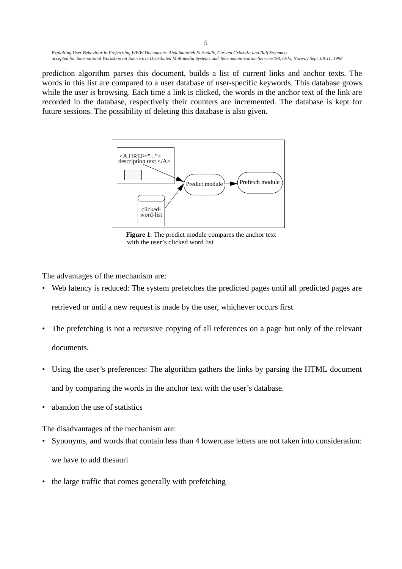prediction algorithm parses this document, builds a list of current links and anchor texts. The words in this list are compared to a user database of user-specific keywords. This database grows while the user is browsing. Each time a link is clicked, the words in the anchor text of the link are recorded in the database, respectively their counters are incremented. The database is kept for future sessions. The possibility of deleting this database is also given.



**Figure 1**: The predict module compares the anchor text with the user's clicked word list

The advantages of the mechanism are:

- Web latency is reduced: The system prefetches the predicted pages until all predicted pages are retrieved or until a new request is made by the user, whichever occurs first.
- The prefetching is not a recursive copying of all references on a page but only of the relevant documents.
- Using the user's preferences: The algorithm gathers the links by parsing the HTML document and by comparing the words in the anchor text with the user's database.
- abandon the use of statistics

The disadvantages of the mechanism are:

- Synonyms, and words that contain less than 4 lowercase letters are not taken into consideration: we have to add thesauri
- the large traffic that comes generally with prefetching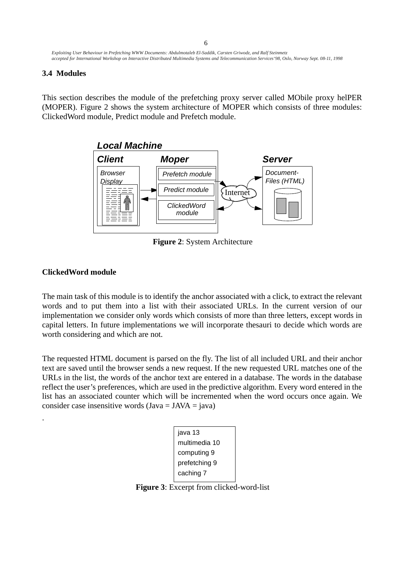## **3.4 Modules**

This section describes the module of the prefetching proxy server called MObile proxy helPER (MOPER). Figure 2 shows the system architecture of MOPER which consists of three modules: ClickedWord module, Predict module and Prefetch module.



**Figure 2**: System Architecture

## **ClickedWord module**

.

The main task of this module is to identify the anchor associated with a click, to extract the relevant words and to put them into a list with their associated URLs. In the current version of our implementation we consider only words which consists of more than three letters, except words in capital letters. In future implementations we will incorporate thesauri to decide which words are worth considering and which are not.

The requested HTML document is parsed on the fly. The list of all included URL and their anchor text are saved until the browser sends a new request. If the new requested URL matches one of the URLs in the list, the words of the anchor text are entered in a database. The words in the database reflect the user's preferences, which are used in the predictive algorithm. Every word entered in the list has an associated counter which will be incremented when the word occurs once again. We consider case insensitive words  $(Java = JAVA = java)$ 

| java 13       |
|---------------|
| multimedia 10 |
| computing 9   |
| prefetching 9 |
| caching 7     |
|               |

**Figure 3**: Excerpt from clicked-word-list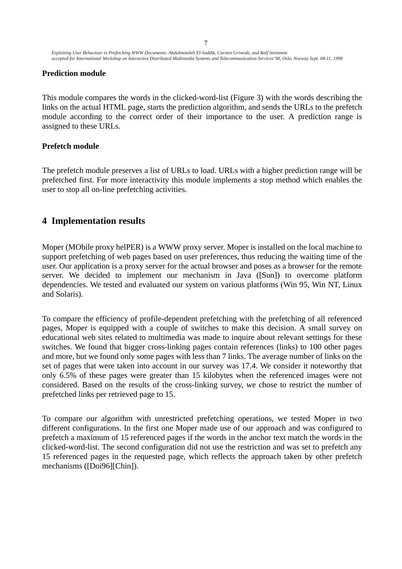#### **Prediction module**

This module compares the words in the clicked-word-list (Figure 3) with the words describing the links on the actual HTML page, starts the prediction algorithm, and sends the URLs to the prefetch module according to the correct order of their importance to the user. A prediction range is assigned to these URLs.

#### **Prefetch module**

The prefetch module preserves a list of URLs to load. URLs with a higher prediction range will be prefetched first. For more interactivity this module implements a stop method which enables the user to stop all on-line prefetching activities.

# **4 Implementation results**

Moper (MObile proxy helPER) is a WWW proxy server. Moper is installed on the local machine to support prefetching of web pages based on user preferences, thus reducing the waiting time of the user. Our application is a proxy server for the actual browser and poses as a browser for the remote server. We decided to implement our mechanism in Java ([Sun]) to overcome platform dependencies. We tested and evaluated our system on various platforms (Win 95, Win NT, Linux and Solaris).

To compare the efficiency of profile-dependent prefetching with the prefetching of all referenced pages, Moper is equipped with a couple of switches to make this decision. A small survey on educational web sites related to multimedia was made to inquire about relevant settings for these switches. We found that bigger cross-linking pages contain references (links) to 100 other pages and more, but we found only some pages with less than 7 links. The average number of links on the set of pages that were taken into account in our survey was 17.4. We consider it noteworthy that only 6.5% of these pages were greater than 15 kilobytes when the referenced images were not considered. Based on the results of the cross-linking survey, we chose to restrict the number of prefetched links per retrieved page to 15.

To compare our algorithm with unrestricted prefetching operations, we tested Moper in two different configurations. In the first one Moper made use of our approach and was configured to prefetch a maximum of 15 referenced pages if the words in the anchor text match the words in the clicked-word-list. The second configuration did not use the restriction and was set to prefetch any 15 referenced pages in the requested page, which reflects the approach taken by other prefetch mechanisms ([Doi96][Chin]).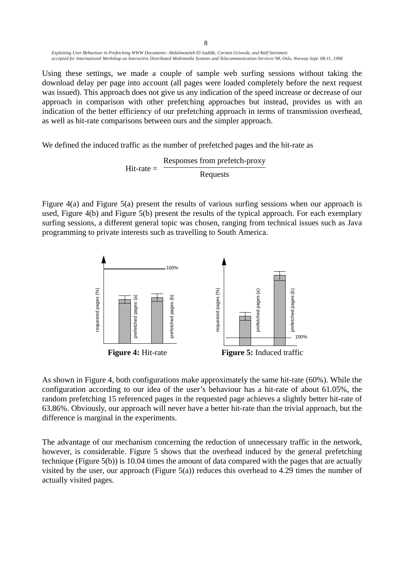Using these settings, we made a couple of sample web surfing sessions without taking the download delay per page into account (all pages were loaded completely before the next request was issued). This approach does not give us any indication of the speed increase or decrease of our approach in comparison with other prefetching approaches but instead, provides us with an indication of the better efficiency of our prefetching approach in terms of transmission overhead, as well as hit-rate comparisons between ours and the simpler approach.

We defined the induced traffic as the number of prefetched pages and the hit-rate as

Hit-rate  $=$ **Requests** Responses from prefetch-proxy

Figure 4(a) and Figure 5(a) present the results of various surfing sessions when our approach is used, Figure 4(b) and Figure 5(b) present the results of the typical approach. For each exemplary surfing sessions, a different general topic was chosen, ranging from technical issues such as Java programming to private interests such as travelling to South America.



As shown in Figure 4, both configurations make approximately the same hit-rate (60%). While the configuration according to our idea of the user's behaviour has a hit-rate of about 61.05%, the random prefetching 15 referenced pages in the requested page achieves a slightly better hit-rate of 63.86%. Obviously, our approach will never have a better hit-rate than the trivial approach, but the difference is marginal in the experiments.

The advantage of our mechanism concerning the reduction of unnecessary traffic in the network, however, is considerable. Figure 5 shows that the overhead induced by the general prefetching technique (Figure 5(b)) is 10.04 times the amount of data compared with the pages that are actually visited by the user, our approach (Figure 5(a)) reduces this overhead to 4.29 times the number of actually visited pages.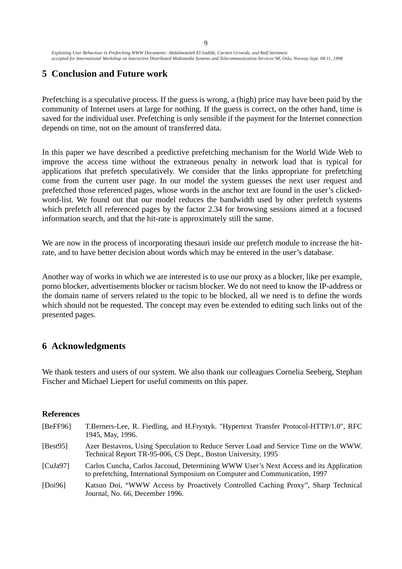# **5 Conclusion and Future work**

Prefetching is a speculative process. If the guess is wrong, a (high) price may have been paid by the community of Internet users at large for nothing. If the guess is correct, on the other hand, time is saved for the individual user. Prefetching is only sensible if the payment for the Internet connection depends on time, not on the amount of transferred data.

In this paper we have described a predictive prefetching mechanism for the World Wide Web to improve the access time without the extraneous penalty in network load that is typical for applications that prefetch speculatively. We consider that the links appropriate for prefetching come from the current user page. In our model the system guesses the next user request and prefetched those referenced pages, whose words in the anchor text are found in the user's clickedword-list. We found out that our model reduces the bandwidth used by other prefetch systems which prefetch all referenced pages by the factor 2.34 for browsing sessions aimed at a focused information search, and that the hit-rate is approximately still the same.

We are now in the process of incorporating thesauri inside our prefetch module to increase the hitrate, and to have better decision about words which may be entered in the user's database.

Another way of works in which we are interested is to use our proxy as a blocker, like per example, porno blocker, advertisements blocker or racism blocker. We do not need to know the IP-address or the domain name of servers related to the topic to be blocked, all we need is to define the words which should not be requested. The concept may even be extended to editing such links out of the presented pages.

## **6 Acknowledgments**

We thank testers and users of our system. We also thank our colleagues Cornelia Seeberg, Stephan Fischer and Michael Liepert for useful comments on this paper.

#### **References**

| [BeFF96] | T.Berners-Lee, R. Fiedling, and H.Frystyk. "Hypertext Transfer Protocol-HTTP/1.0", RFC<br>1945, May, 1996.                                                           |
|----------|----------------------------------------------------------------------------------------------------------------------------------------------------------------------|
| [Best95] | Azer Bestavros, Using Speculation to Reduce Server Load and Service Time on the WWW.<br>Technical Report TR-95-006, CS Dept., Boston University, 1995                |
| [CuJa97] | Carlos Cuncha, Carlos Jaccoud, Determining WWW User's Next Access and its Application<br>to prefetching, International Symposium on Computer and Communication, 1997 |
| [Doi96]  | Katsuo Doi, "WWW Access by Proactively Controlled Caching Proxy", Sharp Technical<br>Journal, No. 66, December 1996.                                                 |